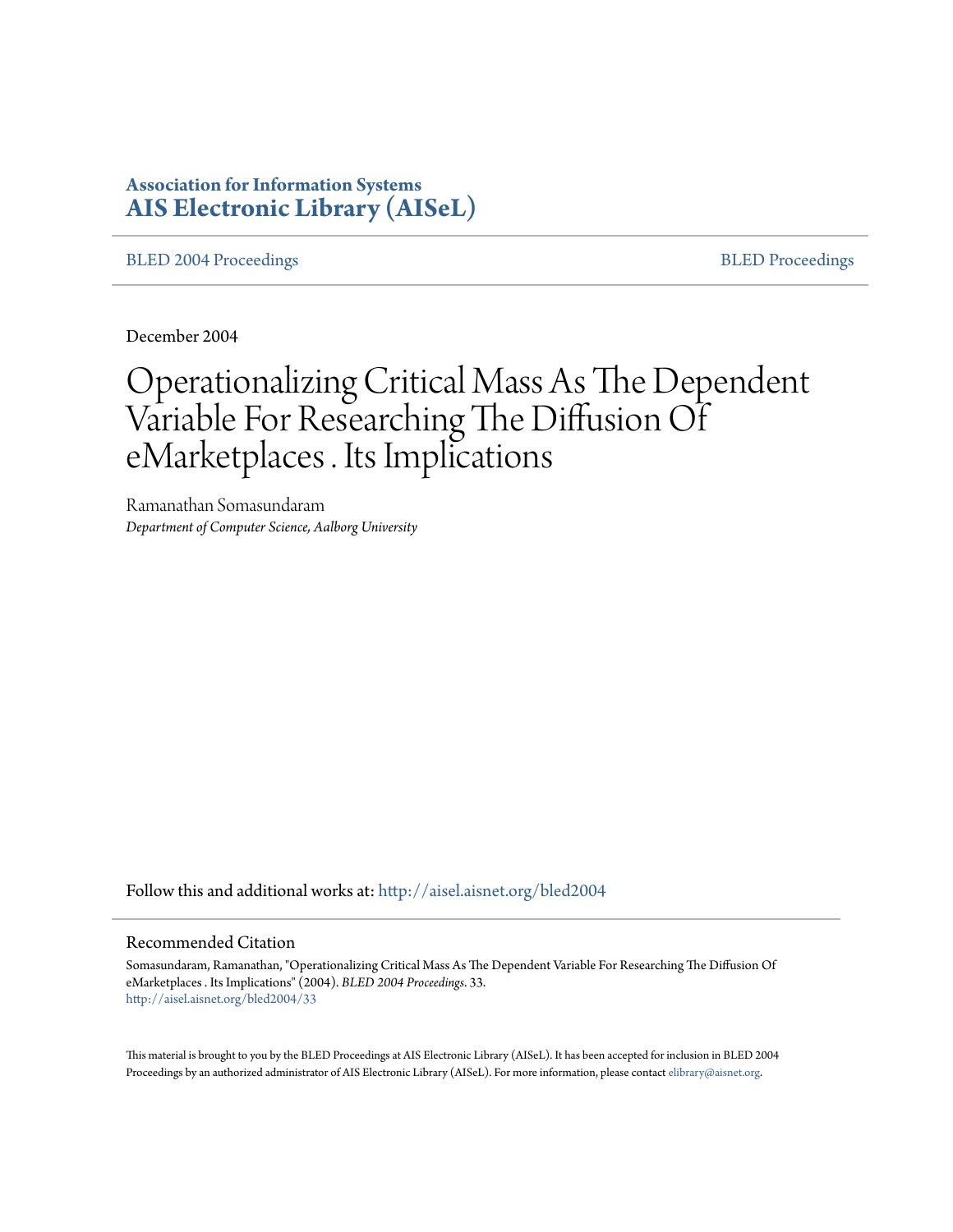# **Association for Information Systems [AIS Electronic Library \(AISeL\)](http://aisel.aisnet.org?utm_source=aisel.aisnet.org%2Fbled2004%2F33&utm_medium=PDF&utm_campaign=PDFCoverPages)**

[BLED 2004 Proceedings](http://aisel.aisnet.org/bled2004?utm_source=aisel.aisnet.org%2Fbled2004%2F33&utm_medium=PDF&utm_campaign=PDFCoverPages) and the state of the state of the [BLED Proceedings](http://aisel.aisnet.org/bled?utm_source=aisel.aisnet.org%2Fbled2004%2F33&utm_medium=PDF&utm_campaign=PDFCoverPages) and the BLED Proceedings and the BLED Proceedings and the BLED Proceedings and the BLED Proceedings and the BLED Proceedings and the BLED Proceedings

December 2004

# Operationalizing Critical Mass As The Dependent Variable For Researching The Diffusion Of eMarketplaces . Its Implications

Ramanathan Somasundaram *Department of Computer Science, Aalborg University*

Follow this and additional works at: [http://aisel.aisnet.org/bled2004](http://aisel.aisnet.org/bled2004?utm_source=aisel.aisnet.org%2Fbled2004%2F33&utm_medium=PDF&utm_campaign=PDFCoverPages)

#### Recommended Citation

Somasundaram, Ramanathan, "Operationalizing Critical Mass As The Dependent Variable For Researching The Diffusion Of eMarketplaces . Its Implications" (2004). *BLED 2004 Proceedings*. 33. [http://aisel.aisnet.org/bled2004/33](http://aisel.aisnet.org/bled2004/33?utm_source=aisel.aisnet.org%2Fbled2004%2F33&utm_medium=PDF&utm_campaign=PDFCoverPages)

This material is brought to you by the BLED Proceedings at AIS Electronic Library (AISeL). It has been accepted for inclusion in BLED 2004 Proceedings by an authorized administrator of AIS Electronic Library (AISeL). For more information, please contact [elibrary@aisnet.org](mailto:elibrary@aisnet.org%3E).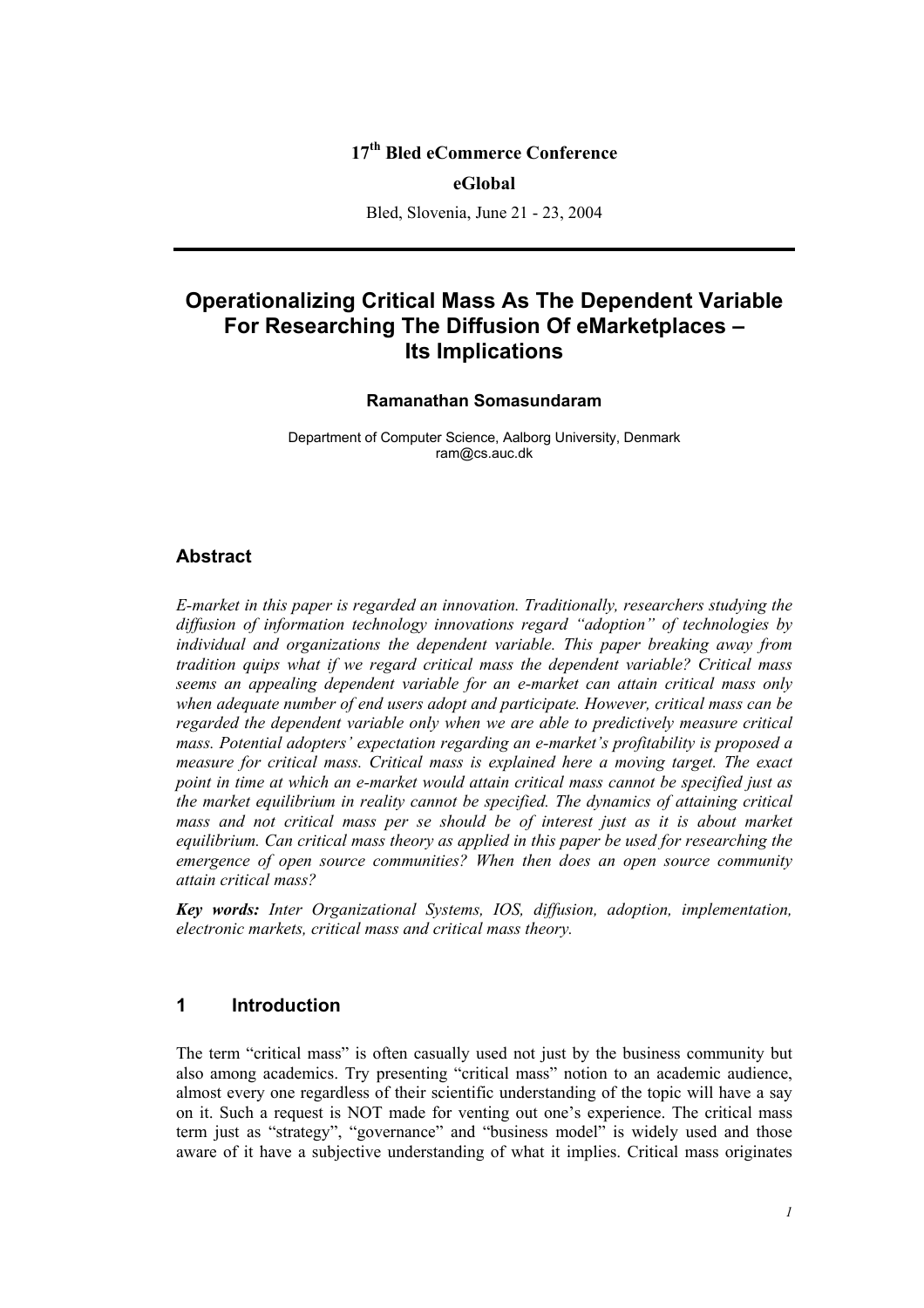## **17th Bled eCommerce Conference**

#### **eGlobal**

Bled, Slovenia, June 21 - 23, 2004

# **Operationalizing Critical Mass As The Dependent Variable For Researching The Diffusion Of eMarketplaces – Its Implications**

#### **Ramanathan Somasundaram**

Department of Computer Science, Aalborg University, Denmark ram@cs.auc.dk

#### **Abstract**

*E-market in this paper is regarded an innovation. Traditionally, researchers studying the diffusion of information technology innovations regard "adoption" of technologies by individual and organizations the dependent variable. This paper breaking away from tradition quips what if we regard critical mass the dependent variable? Critical mass seems an appealing dependent variable for an e-market can attain critical mass only when adequate number of end users adopt and participate. However, critical mass can be regarded the dependent variable only when we are able to predictively measure critical mass. Potential adopters' expectation regarding an e-market's profitability is proposed a measure for critical mass. Critical mass is explained here a moving target. The exact point in time at which an e-market would attain critical mass cannot be specified just as the market equilibrium in reality cannot be specified. The dynamics of attaining critical*  mass and not critical mass per se should be of interest just as it is about market *equilibrium. Can critical mass theory as applied in this paper be used for researching the emergence of open source communities? When then does an open source community attain critical mass?* 

*Key words: Inter Organizational Systems, IOS, diffusion, adoption, implementation, electronic markets, critical mass and critical mass theory.* 

## **1 Introduction**

The term "critical mass" is often casually used not just by the business community but also among academics. Try presenting "critical mass" notion to an academic audience, almost every one regardless of their scientific understanding of the topic will have a say on it. Such a request is NOT made for venting out one's experience. The critical mass term just as "strategy", "governance" and "business model" is widely used and those aware of it have a subjective understanding of what it implies. Critical mass originates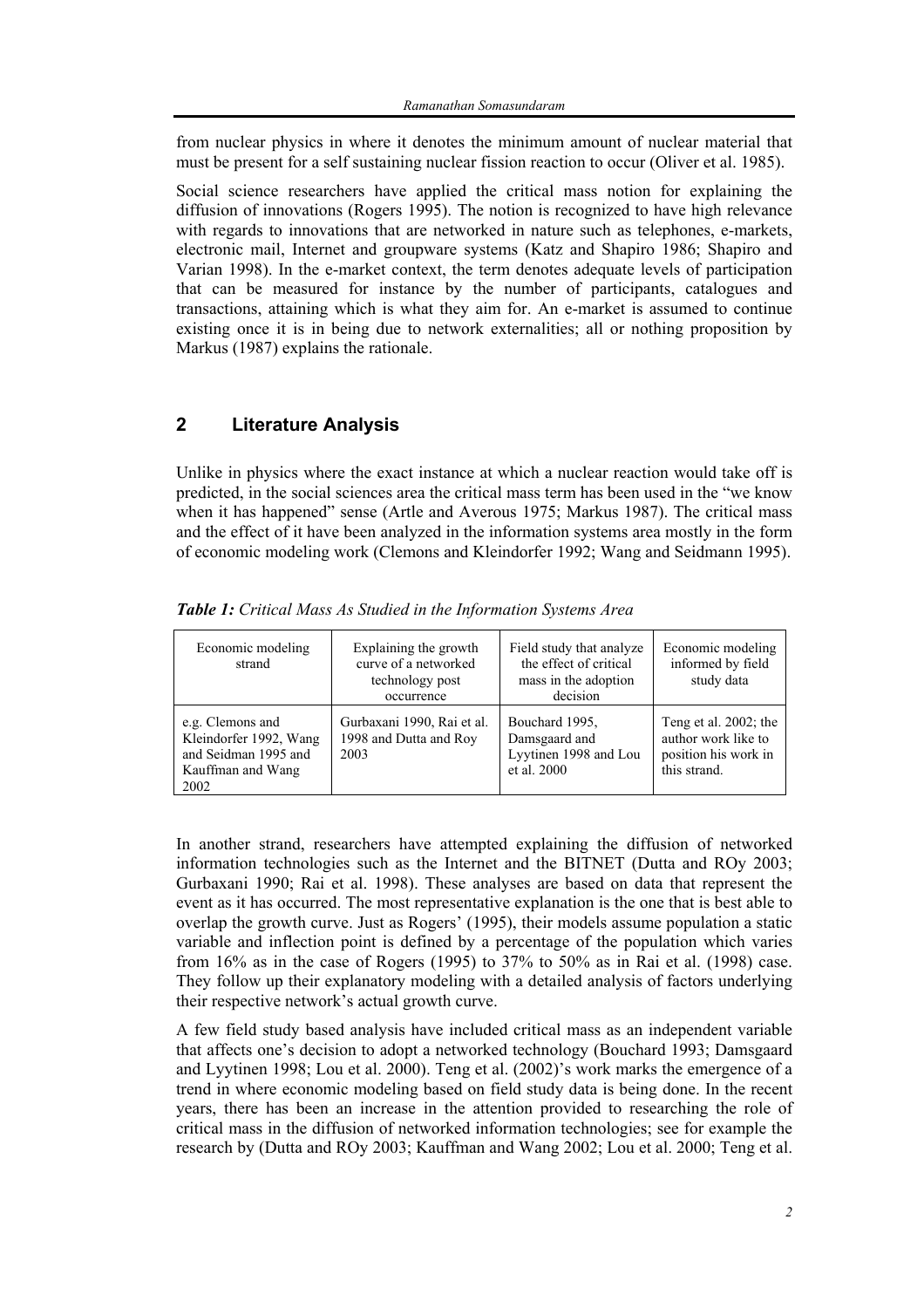from nuclear physics in where it denotes the minimum amount of nuclear material that must be present for a self sustaining nuclear fission reaction to occur (Oliver et al. 1985).

Social science researchers have applied the critical mass notion for explaining the diffusion of innovations (Rogers 1995). The notion is recognized to have high relevance with regards to innovations that are networked in nature such as telephones, e-markets, electronic mail, Internet and groupware systems (Katz and Shapiro 1986; Shapiro and Varian 1998). In the e-market context, the term denotes adequate levels of participation that can be measured for instance by the number of participants, catalogues and transactions, attaining which is what they aim for. An e-market is assumed to continue existing once it is in being due to network externalities; all or nothing proposition by Markus (1987) explains the rationale.

## **2 Literature Analysis**

Unlike in physics where the exact instance at which a nuclear reaction would take off is predicted, in the social sciences area the critical mass term has been used in the "we know when it has happened" sense (Artle and Averous 1975; Markus 1987). The critical mass and the effect of it have been analyzed in the information systems area mostly in the form of economic modeling work (Clemons and Kleindorfer 1992; Wang and Seidmann 1995).

| Economic modeling<br>strand                                                                     | Explaining the growth<br>curve of a networked<br>technology post<br>occurrence | Field study that analyze<br>the effect of critical<br>mass in the adoption<br>decision | Economic modeling<br>informed by field<br>study data                                 |
|-------------------------------------------------------------------------------------------------|--------------------------------------------------------------------------------|----------------------------------------------------------------------------------------|--------------------------------------------------------------------------------------|
| e.g. Clemons and<br>Kleindorfer 1992, Wang<br>and Seidman 1995 and<br>Kauffman and Wang<br>2002 | Gurbaxani 1990, Rai et al.<br>1998 and Dutta and Roy<br>2003                   | Bouchard 1995.<br>Damsgaard and<br>Lyytinen 1998 and Lou<br>et al. 2000                | Teng et al. 2002; the<br>author work like to<br>position his work in<br>this strand. |

*Table 1: Critical Mass As Studied in the Information Systems Area* 

In another strand, researchers have attempted explaining the diffusion of networked information technologies such as the Internet and the BITNET (Dutta and ROy 2003; Gurbaxani 1990; Rai et al. 1998). These analyses are based on data that represent the event as it has occurred. The most representative explanation is the one that is best able to overlap the growth curve. Just as Rogers' (1995), their models assume population a static variable and inflection point is defined by a percentage of the population which varies from 16% as in the case of Rogers (1995) to 37% to 50% as in Rai et al. (1998) case. They follow up their explanatory modeling with a detailed analysis of factors underlying their respective network's actual growth curve.

A few field study based analysis have included critical mass as an independent variable that affects one's decision to adopt a networked technology (Bouchard 1993; Damsgaard and Lyytinen 1998; Lou et al. 2000). Teng et al. (2002)'s work marks the emergence of a trend in where economic modeling based on field study data is being done. In the recent years, there has been an increase in the attention provided to researching the role of critical mass in the diffusion of networked information technologies; see for example the research by (Dutta and ROy 2003; Kauffman and Wang 2002; Lou et al. 2000; Teng et al.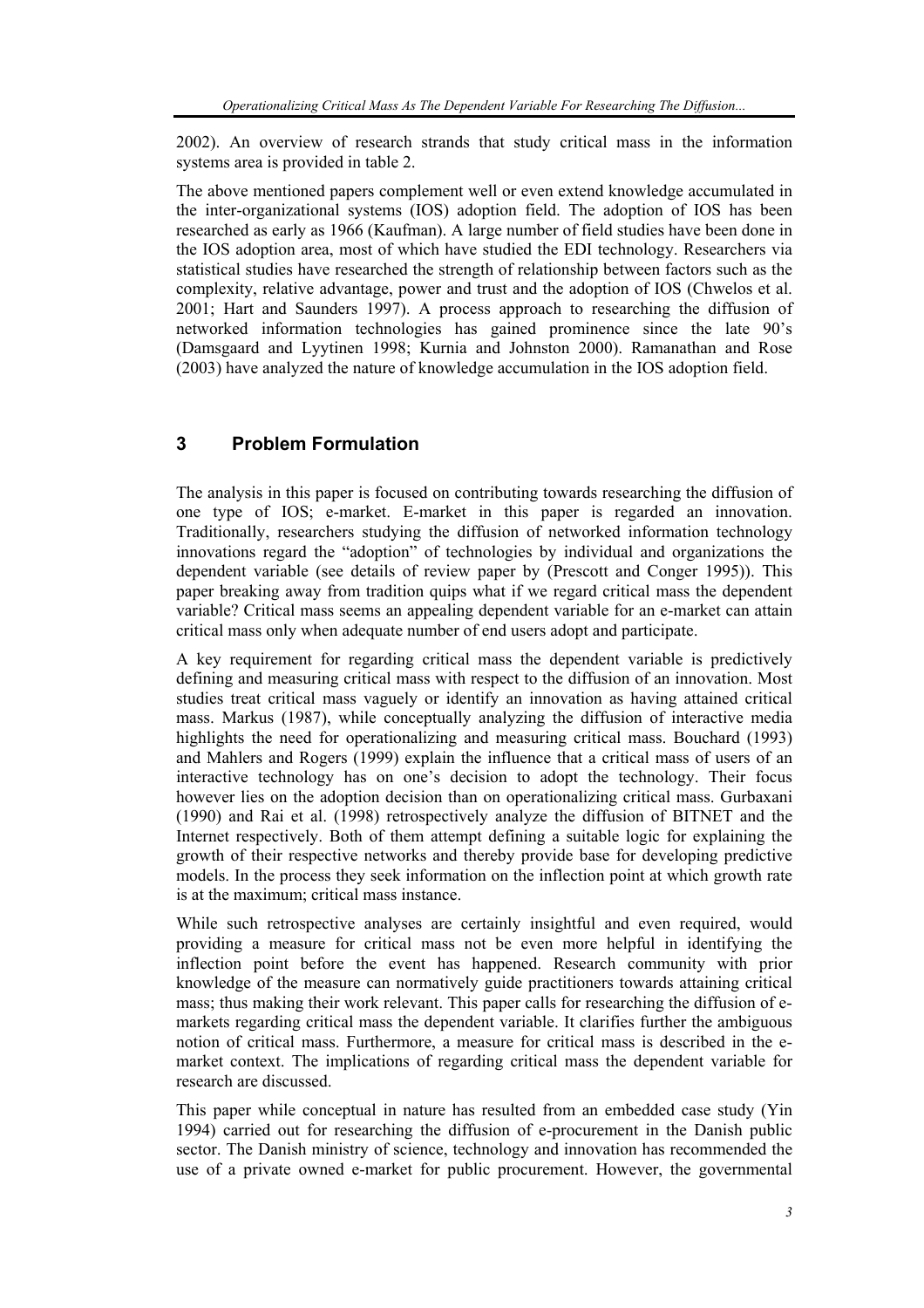2002). An overview of research strands that study critical mass in the information systems area is provided in table 2.

The above mentioned papers complement well or even extend knowledge accumulated in the inter-organizational systems (IOS) adoption field. The adoption of IOS has been researched as early as 1966 (Kaufman). A large number of field studies have been done in the IOS adoption area, most of which have studied the EDI technology. Researchers via statistical studies have researched the strength of relationship between factors such as the complexity, relative advantage, power and trust and the adoption of IOS (Chwelos et al. 2001; Hart and Saunders 1997). A process approach to researching the diffusion of networked information technologies has gained prominence since the late 90's (Damsgaard and Lyytinen 1998; Kurnia and Johnston 2000). Ramanathan and Rose (2003) have analyzed the nature of knowledge accumulation in the IOS adoption field.

## **3 Problem Formulation**

The analysis in this paper is focused on contributing towards researching the diffusion of one type of IOS; e-market. E-market in this paper is regarded an innovation. Traditionally, researchers studying the diffusion of networked information technology innovations regard the "adoption" of technologies by individual and organizations the dependent variable (see details of review paper by (Prescott and Conger 1995)). This paper breaking away from tradition quips what if we regard critical mass the dependent variable? Critical mass seems an appealing dependent variable for an e-market can attain critical mass only when adequate number of end users adopt and participate.

A key requirement for regarding critical mass the dependent variable is predictively defining and measuring critical mass with respect to the diffusion of an innovation. Most studies treat critical mass vaguely or identify an innovation as having attained critical mass. Markus (1987), while conceptually analyzing the diffusion of interactive media highlights the need for operationalizing and measuring critical mass. Bouchard (1993) and Mahlers and Rogers (1999) explain the influence that a critical mass of users of an interactive technology has on one's decision to adopt the technology. Their focus however lies on the adoption decision than on operationalizing critical mass. Gurbaxani (1990) and Rai et al. (1998) retrospectively analyze the diffusion of BITNET and the Internet respectively. Both of them attempt defining a suitable logic for explaining the growth of their respective networks and thereby provide base for developing predictive models. In the process they seek information on the inflection point at which growth rate is at the maximum; critical mass instance.

While such retrospective analyses are certainly insightful and even required, would providing a measure for critical mass not be even more helpful in identifying the inflection point before the event has happened. Research community with prior knowledge of the measure can normatively guide practitioners towards attaining critical mass; thus making their work relevant. This paper calls for researching the diffusion of emarkets regarding critical mass the dependent variable. It clarifies further the ambiguous notion of critical mass. Furthermore, a measure for critical mass is described in the emarket context. The implications of regarding critical mass the dependent variable for research are discussed.

This paper while conceptual in nature has resulted from an embedded case study (Yin 1994) carried out for researching the diffusion of e-procurement in the Danish public sector. The Danish ministry of science, technology and innovation has recommended the use of a private owned e-market for public procurement. However, the governmental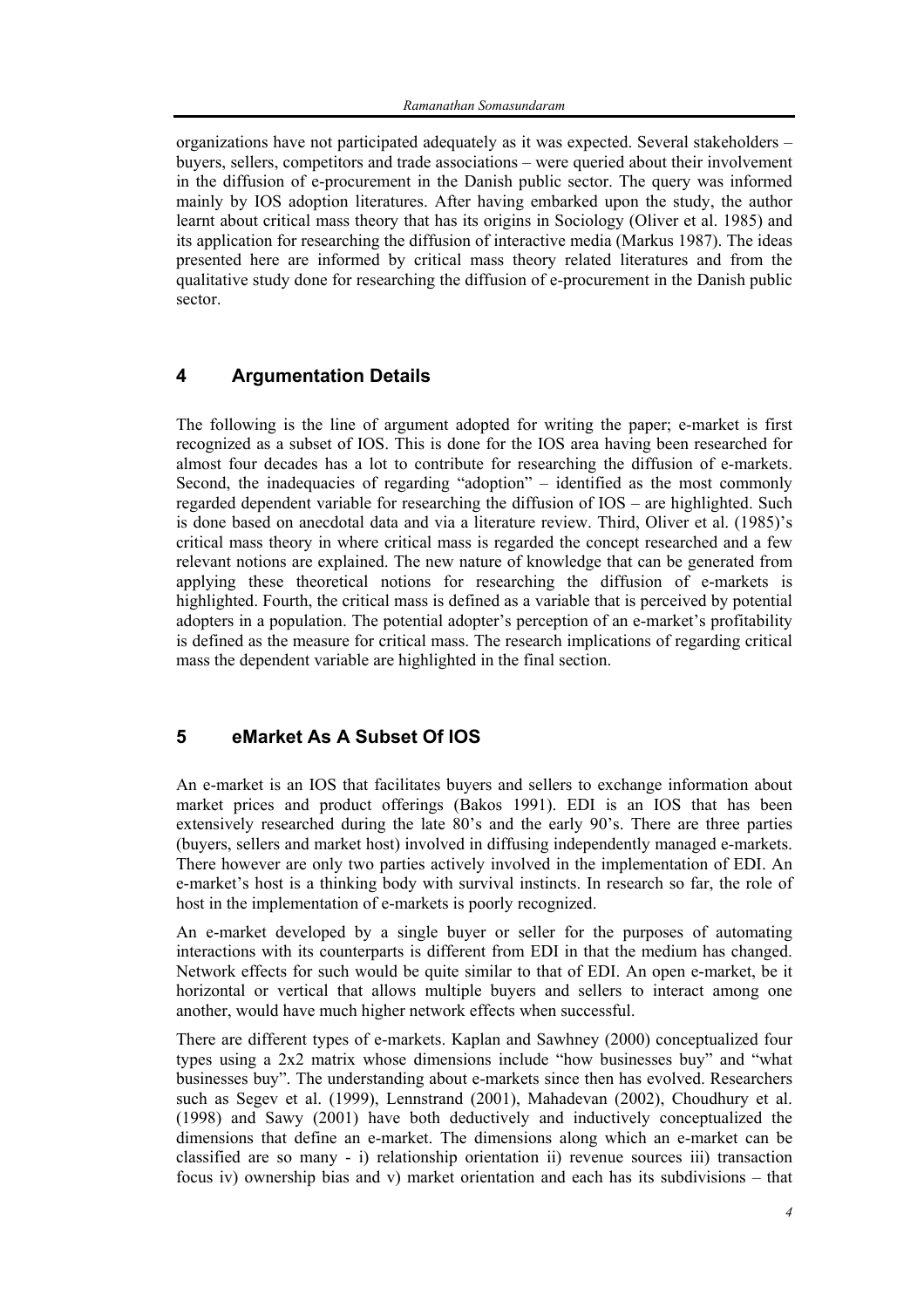organizations have not participated adequately as it was expected. Several stakeholders – buyers, sellers, competitors and trade associations – were queried about their involvement in the diffusion of e-procurement in the Danish public sector. The query was informed mainly by IOS adoption literatures. After having embarked upon the study, the author learnt about critical mass theory that has its origins in Sociology (Oliver et al. 1985) and its application for researching the diffusion of interactive media (Markus 1987). The ideas presented here are informed by critical mass theory related literatures and from the qualitative study done for researching the diffusion of e-procurement in the Danish public sector.

## **4 Argumentation Details**

The following is the line of argument adopted for writing the paper; e-market is first recognized as a subset of IOS. This is done for the IOS area having been researched for almost four decades has a lot to contribute for researching the diffusion of e-markets. Second, the inadequacies of regarding "adoption" – identified as the most commonly regarded dependent variable for researching the diffusion of IOS – are highlighted. Such is done based on anecdotal data and via a literature review. Third, Oliver et al. (1985)'s critical mass theory in where critical mass is regarded the concept researched and a few relevant notions are explained. The new nature of knowledge that can be generated from applying these theoretical notions for researching the diffusion of e-markets is highlighted. Fourth, the critical mass is defined as a variable that is perceived by potential adopters in a population. The potential adopter's perception of an e-market's profitability is defined as the measure for critical mass. The research implications of regarding critical mass the dependent variable are highlighted in the final section.

#### **5 eMarket As A Subset Of IOS**

An e-market is an IOS that facilitates buyers and sellers to exchange information about market prices and product offerings (Bakos 1991). EDI is an IOS that has been extensively researched during the late 80's and the early 90's. There are three parties (buyers, sellers and market host) involved in diffusing independently managed e-markets. There however are only two parties actively involved in the implementation of EDI. An e-market's host is a thinking body with survival instincts. In research so far, the role of host in the implementation of e-markets is poorly recognized.

An e-market developed by a single buyer or seller for the purposes of automating interactions with its counterparts is different from EDI in that the medium has changed. Network effects for such would be quite similar to that of EDI. An open e-market, be it horizontal or vertical that allows multiple buyers and sellers to interact among one another, would have much higher network effects when successful.

There are different types of e-markets. Kaplan and Sawhney (2000) conceptualized four types using a 2x2 matrix whose dimensions include "how businesses buy" and "what businesses buy". The understanding about e-markets since then has evolved. Researchers such as Segev et al. (1999), Lennstrand (2001), Mahadevan (2002), Choudhury et al. (1998) and Sawy (2001) have both deductively and inductively conceptualized the dimensions that define an e-market. The dimensions along which an e-market can be classified are so many - i) relationship orientation ii) revenue sources iii) transaction focus iv) ownership bias and v) market orientation and each has its subdivisions – that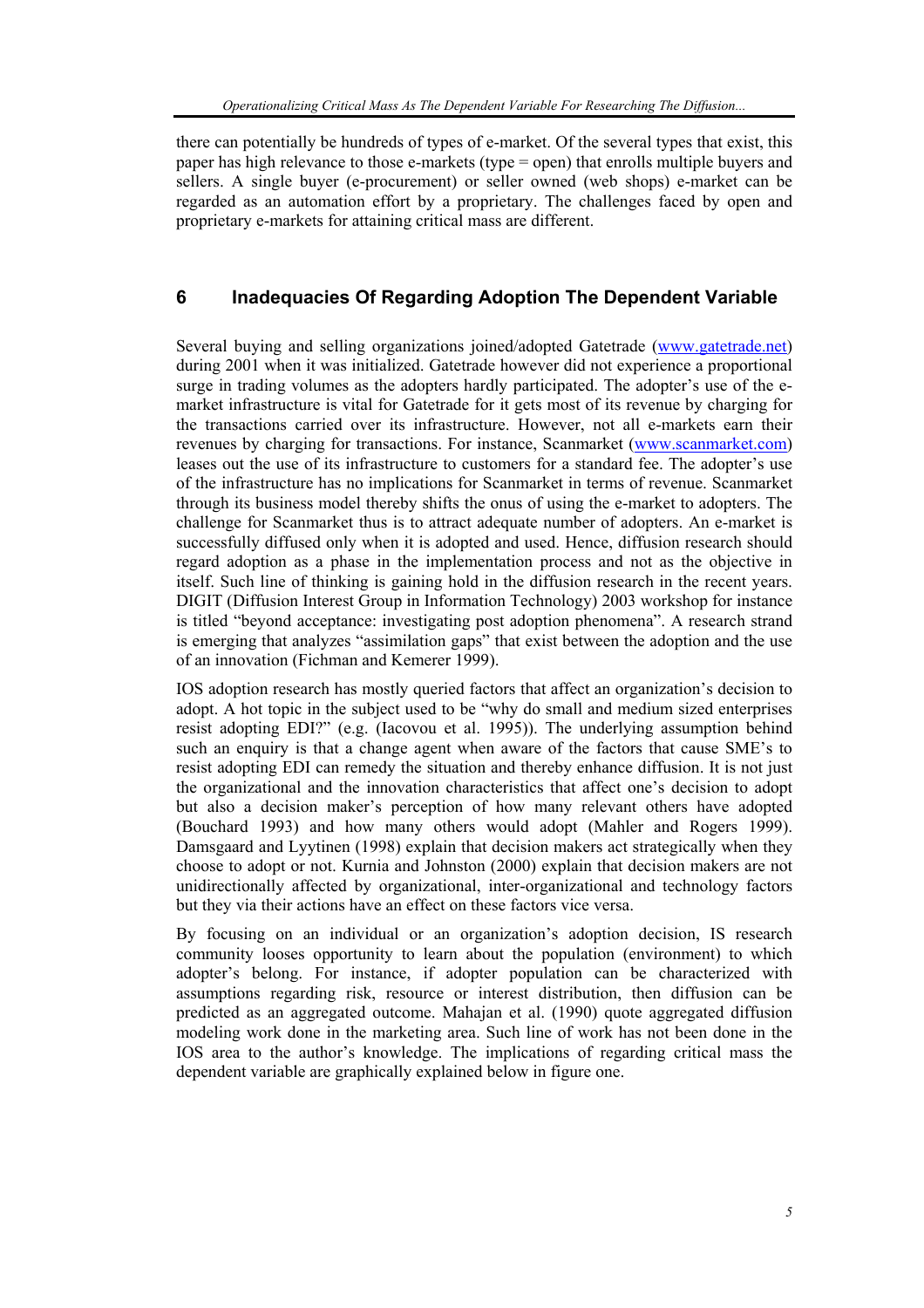there can potentially be hundreds of types of e-market. Of the several types that exist, this paper has high relevance to those e-markets (type = open) that enrolls multiple buyers and sellers. A single buyer (e-procurement) or seller owned (web shops) e-market can be regarded as an automation effort by a proprietary. The challenges faced by open and proprietary e-markets for attaining critical mass are different.

## **6 Inadequacies Of Regarding Adoption The Dependent Variable**

Several buying and selling organizations joined/adopted Gatetrade (www.gatetrade.net) during 2001 when it was initialized. Gatetrade however did not experience a proportional surge in trading volumes as the adopters hardly participated. The adopter's use of the emarket infrastructure is vital for Gatetrade for it gets most of its revenue by charging for the transactions carried over its infrastructure. However, not all e-markets earn their revenues by charging for transactions. For instance, Scanmarket (www.scanmarket.com) leases out the use of its infrastructure to customers for a standard fee. The adopter's use of the infrastructure has no implications for Scanmarket in terms of revenue. Scanmarket through its business model thereby shifts the onus of using the e-market to adopters. The challenge for Scanmarket thus is to attract adequate number of adopters. An e-market is successfully diffused only when it is adopted and used. Hence, diffusion research should regard adoption as a phase in the implementation process and not as the objective in itself. Such line of thinking is gaining hold in the diffusion research in the recent years. DIGIT (Diffusion Interest Group in Information Technology) 2003 workshop for instance is titled "beyond acceptance: investigating post adoption phenomena". A research strand is emerging that analyzes "assimilation gaps" that exist between the adoption and the use of an innovation (Fichman and Kemerer 1999).

IOS adoption research has mostly queried factors that affect an organization's decision to adopt. A hot topic in the subject used to be "why do small and medium sized enterprises resist adopting EDI?" (e.g. (Iacovou et al. 1995)). The underlying assumption behind such an enquiry is that a change agent when aware of the factors that cause SME's to resist adopting EDI can remedy the situation and thereby enhance diffusion. It is not just the organizational and the innovation characteristics that affect one's decision to adopt but also a decision maker's perception of how many relevant others have adopted (Bouchard 1993) and how many others would adopt (Mahler and Rogers 1999). Damsgaard and Lyytinen (1998) explain that decision makers act strategically when they choose to adopt or not. Kurnia and Johnston (2000) explain that decision makers are not unidirectionally affected by organizational, inter-organizational and technology factors but they via their actions have an effect on these factors vice versa.

By focusing on an individual or an organization's adoption decision, IS research community looses opportunity to learn about the population (environment) to which adopter's belong. For instance, if adopter population can be characterized with assumptions regarding risk, resource or interest distribution, then diffusion can be predicted as an aggregated outcome. Mahajan et al. (1990) quote aggregated diffusion modeling work done in the marketing area. Such line of work has not been done in the IOS area to the author's knowledge. The implications of regarding critical mass the dependent variable are graphically explained below in figure one.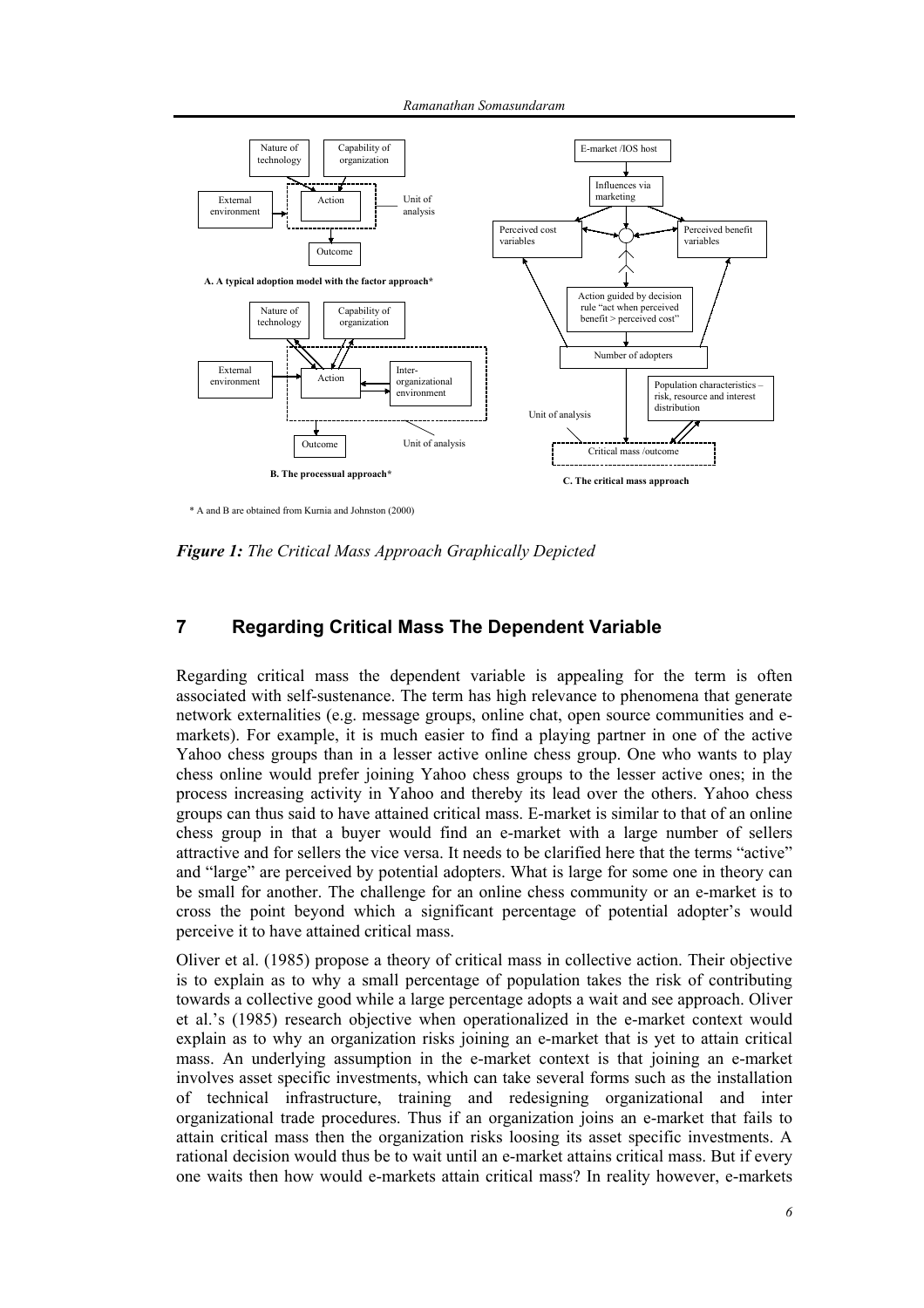

\* A and B are obtained from Kurnia and Johnston (2000)

*Figure 1: The Critical Mass Approach Graphically Depicted* 

## **7 Regarding Critical Mass The Dependent Variable**

Regarding critical mass the dependent variable is appealing for the term is often associated with self-sustenance. The term has high relevance to phenomena that generate network externalities (e.g. message groups, online chat, open source communities and emarkets). For example, it is much easier to find a playing partner in one of the active Yahoo chess groups than in a lesser active online chess group. One who wants to play chess online would prefer joining Yahoo chess groups to the lesser active ones; in the process increasing activity in Yahoo and thereby its lead over the others. Yahoo chess groups can thus said to have attained critical mass. E-market is similar to that of an online chess group in that a buyer would find an e-market with a large number of sellers attractive and for sellers the vice versa. It needs to be clarified here that the terms "active" and "large" are perceived by potential adopters. What is large for some one in theory can be small for another. The challenge for an online chess community or an e-market is to cross the point beyond which a significant percentage of potential adopter's would perceive it to have attained critical mass.

Oliver et al. (1985) propose a theory of critical mass in collective action. Their objective is to explain as to why a small percentage of population takes the risk of contributing towards a collective good while a large percentage adopts a wait and see approach. Oliver et al.'s (1985) research objective when operationalized in the e-market context would explain as to why an organization risks joining an e-market that is yet to attain critical mass. An underlying assumption in the e-market context is that joining an e-market involves asset specific investments, which can take several forms such as the installation of technical infrastructure, training and redesigning organizational and inter organizational trade procedures. Thus if an organization joins an e-market that fails to attain critical mass then the organization risks loosing its asset specific investments. A rational decision would thus be to wait until an e-market attains critical mass. But if every one waits then how would e-markets attain critical mass? In reality however, e-markets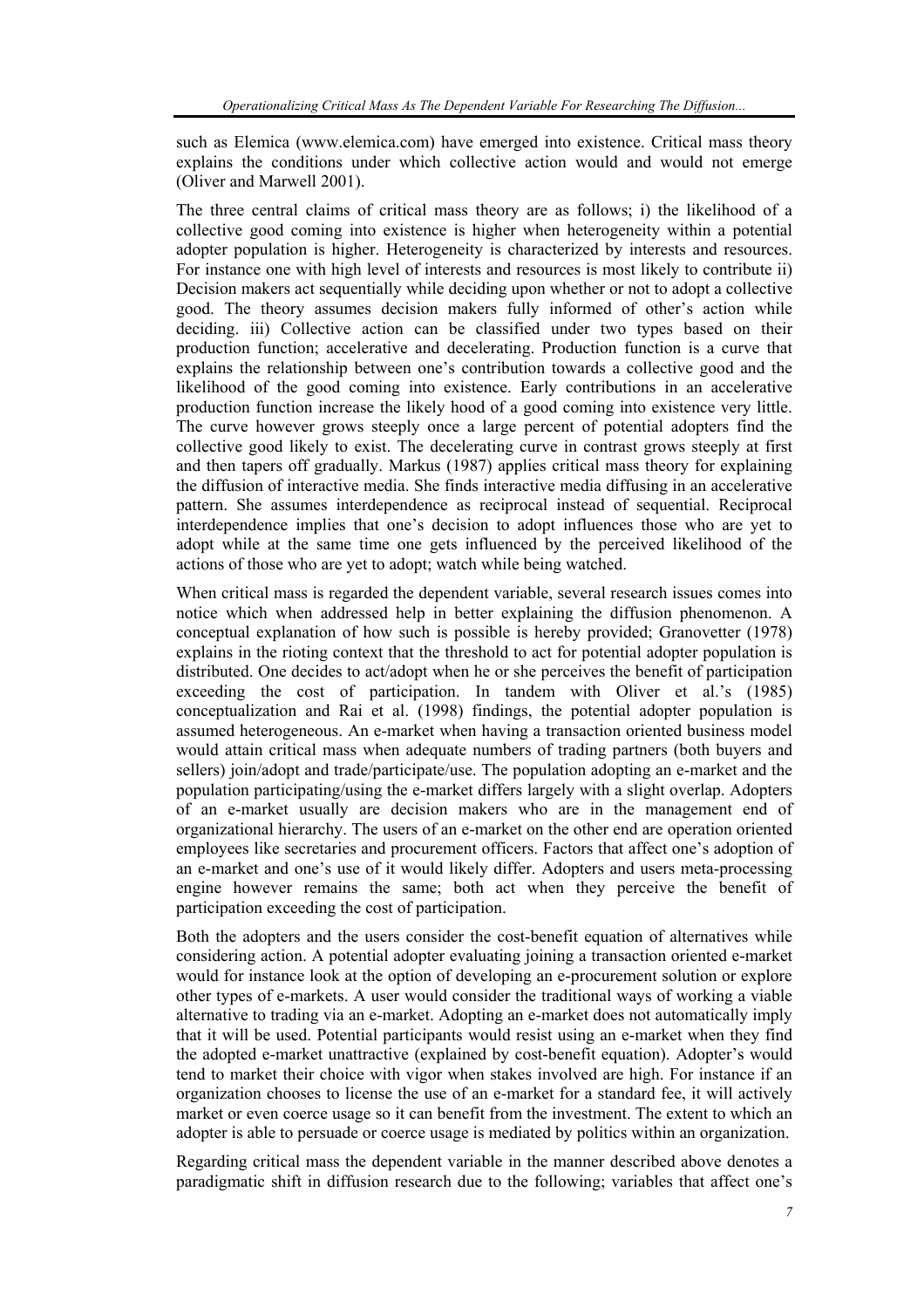such as Elemica (www.elemica.com) have emerged into existence. Critical mass theory explains the conditions under which collective action would and would not emerge (Oliver and Marwell 2001).

The three central claims of critical mass theory are as follows; i) the likelihood of a collective good coming into existence is higher when heterogeneity within a potential adopter population is higher. Heterogeneity is characterized by interests and resources. For instance one with high level of interests and resources is most likely to contribute ii) Decision makers act sequentially while deciding upon whether or not to adopt a collective good. The theory assumes decision makers fully informed of other's action while deciding. iii) Collective action can be classified under two types based on their production function; accelerative and decelerating. Production function is a curve that explains the relationship between one's contribution towards a collective good and the likelihood of the good coming into existence. Early contributions in an accelerative production function increase the likely hood of a good coming into existence very little. The curve however grows steeply once a large percent of potential adopters find the collective good likely to exist. The decelerating curve in contrast grows steeply at first and then tapers off gradually. Markus (1987) applies critical mass theory for explaining the diffusion of interactive media. She finds interactive media diffusing in an accelerative pattern. She assumes interdependence as reciprocal instead of sequential. Reciprocal interdependence implies that one's decision to adopt influences those who are yet to adopt while at the same time one gets influenced by the perceived likelihood of the actions of those who are yet to adopt; watch while being watched.

When critical mass is regarded the dependent variable, several research issues comes into notice which when addressed help in better explaining the diffusion phenomenon. A conceptual explanation of how such is possible is hereby provided; Granovetter (1978) explains in the rioting context that the threshold to act for potential adopter population is distributed. One decides to act/adopt when he or she perceives the benefit of participation exceeding the cost of participation. In tandem with Oliver et al.'s (1985) conceptualization and Rai et al. (1998) findings, the potential adopter population is assumed heterogeneous. An e-market when having a transaction oriented business model would attain critical mass when adequate numbers of trading partners (both buyers and sellers) join/adopt and trade/participate/use. The population adopting an e-market and the population participating/using the e-market differs largely with a slight overlap. Adopters of an e-market usually are decision makers who are in the management end of organizational hierarchy. The users of an e-market on the other end are operation oriented employees like secretaries and procurement officers. Factors that affect one's adoption of an e-market and one's use of it would likely differ. Adopters and users meta-processing engine however remains the same; both act when they perceive the benefit of participation exceeding the cost of participation.

Both the adopters and the users consider the cost-benefit equation of alternatives while considering action. A potential adopter evaluating joining a transaction oriented e-market would for instance look at the option of developing an e-procurement solution or explore other types of e-markets. A user would consider the traditional ways of working a viable alternative to trading via an e-market. Adopting an e-market does not automatically imply that it will be used. Potential participants would resist using an e-market when they find the adopted e-market unattractive (explained by cost-benefit equation). Adopter's would tend to market their choice with vigor when stakes involved are high. For instance if an organization chooses to license the use of an e-market for a standard fee, it will actively market or even coerce usage so it can benefit from the investment. The extent to which an adopter is able to persuade or coerce usage is mediated by politics within an organization.

Regarding critical mass the dependent variable in the manner described above denotes a paradigmatic shift in diffusion research due to the following; variables that affect one's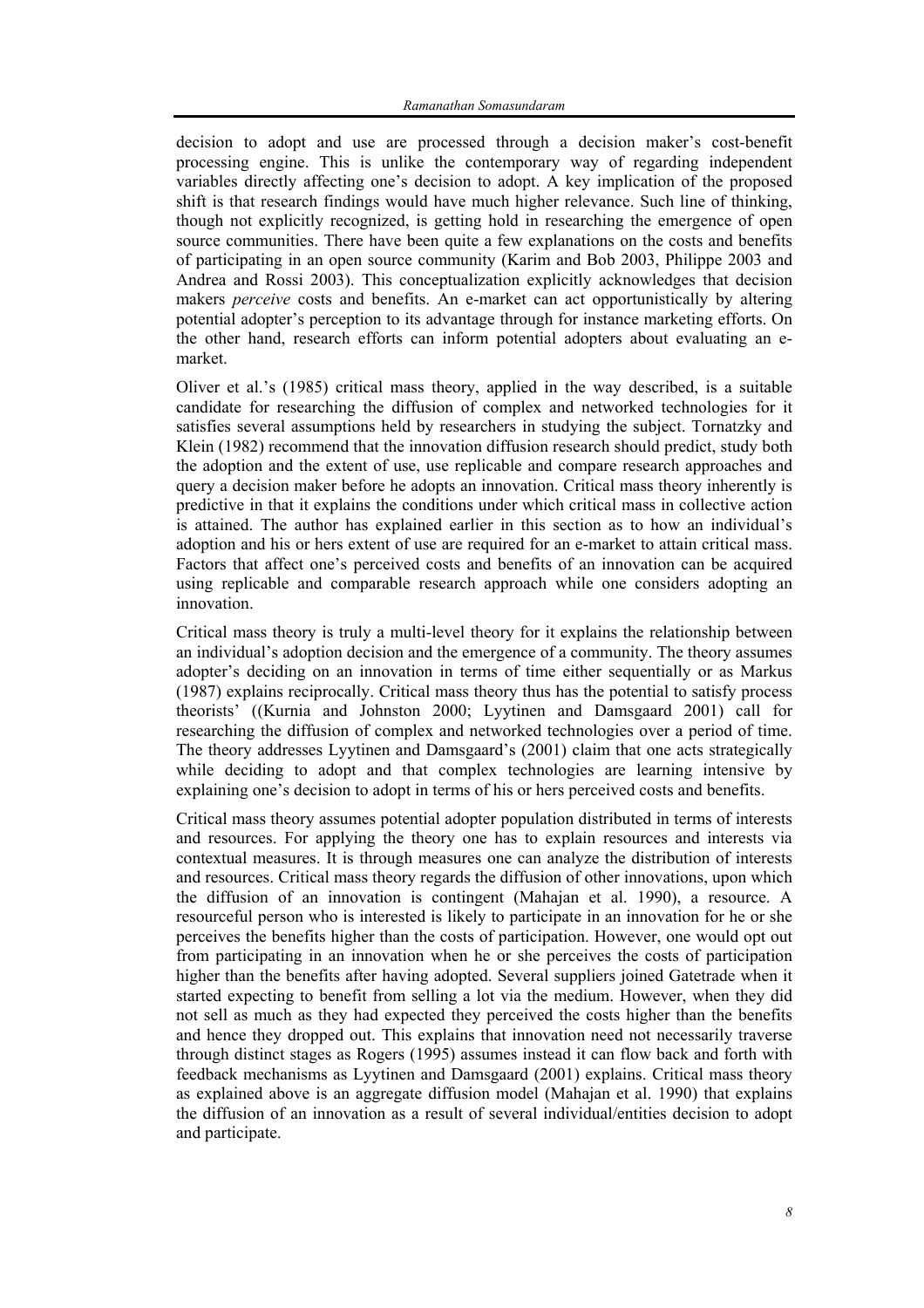decision to adopt and use are processed through a decision maker's cost-benefit processing engine. This is unlike the contemporary way of regarding independent variables directly affecting one's decision to adopt. A key implication of the proposed shift is that research findings would have much higher relevance. Such line of thinking, though not explicitly recognized, is getting hold in researching the emergence of open source communities. There have been quite a few explanations on the costs and benefits of participating in an open source community (Karim and Bob 2003, Philippe 2003 and Andrea and Rossi 2003). This conceptualization explicitly acknowledges that decision makers *perceive* costs and benefits. An e-market can act opportunistically by altering potential adopter's perception to its advantage through for instance marketing efforts. On the other hand, research efforts can inform potential adopters about evaluating an emarket.

Oliver et al.'s (1985) critical mass theory, applied in the way described, is a suitable candidate for researching the diffusion of complex and networked technologies for it satisfies several assumptions held by researchers in studying the subject. Tornatzky and Klein (1982) recommend that the innovation diffusion research should predict, study both the adoption and the extent of use, use replicable and compare research approaches and query a decision maker before he adopts an innovation. Critical mass theory inherently is predictive in that it explains the conditions under which critical mass in collective action is attained. The author has explained earlier in this section as to how an individual's adoption and his or hers extent of use are required for an e-market to attain critical mass. Factors that affect one's perceived costs and benefits of an innovation can be acquired using replicable and comparable research approach while one considers adopting an innovation.

Critical mass theory is truly a multi-level theory for it explains the relationship between an individual's adoption decision and the emergence of a community. The theory assumes adopter's deciding on an innovation in terms of time either sequentially or as Markus (1987) explains reciprocally. Critical mass theory thus has the potential to satisfy process theorists' ((Kurnia and Johnston 2000; Lyytinen and Damsgaard 2001) call for researching the diffusion of complex and networked technologies over a period of time. The theory addresses Lyytinen and Damsgaard's (2001) claim that one acts strategically while deciding to adopt and that complex technologies are learning intensive by explaining one's decision to adopt in terms of his or hers perceived costs and benefits.

Critical mass theory assumes potential adopter population distributed in terms of interests and resources. For applying the theory one has to explain resources and interests via contextual measures. It is through measures one can analyze the distribution of interests and resources. Critical mass theory regards the diffusion of other innovations, upon which the diffusion of an innovation is contingent (Mahajan et al. 1990), a resource. A resourceful person who is interested is likely to participate in an innovation for he or she perceives the benefits higher than the costs of participation. However, one would opt out from participating in an innovation when he or she perceives the costs of participation higher than the benefits after having adopted. Several suppliers joined Gatetrade when it started expecting to benefit from selling a lot via the medium. However, when they did not sell as much as they had expected they perceived the costs higher than the benefits and hence they dropped out. This explains that innovation need not necessarily traverse through distinct stages as Rogers (1995) assumes instead it can flow back and forth with feedback mechanisms as Lyytinen and Damsgaard (2001) explains. Critical mass theory as explained above is an aggregate diffusion model (Mahajan et al. 1990) that explains the diffusion of an innovation as a result of several individual/entities decision to adopt and participate.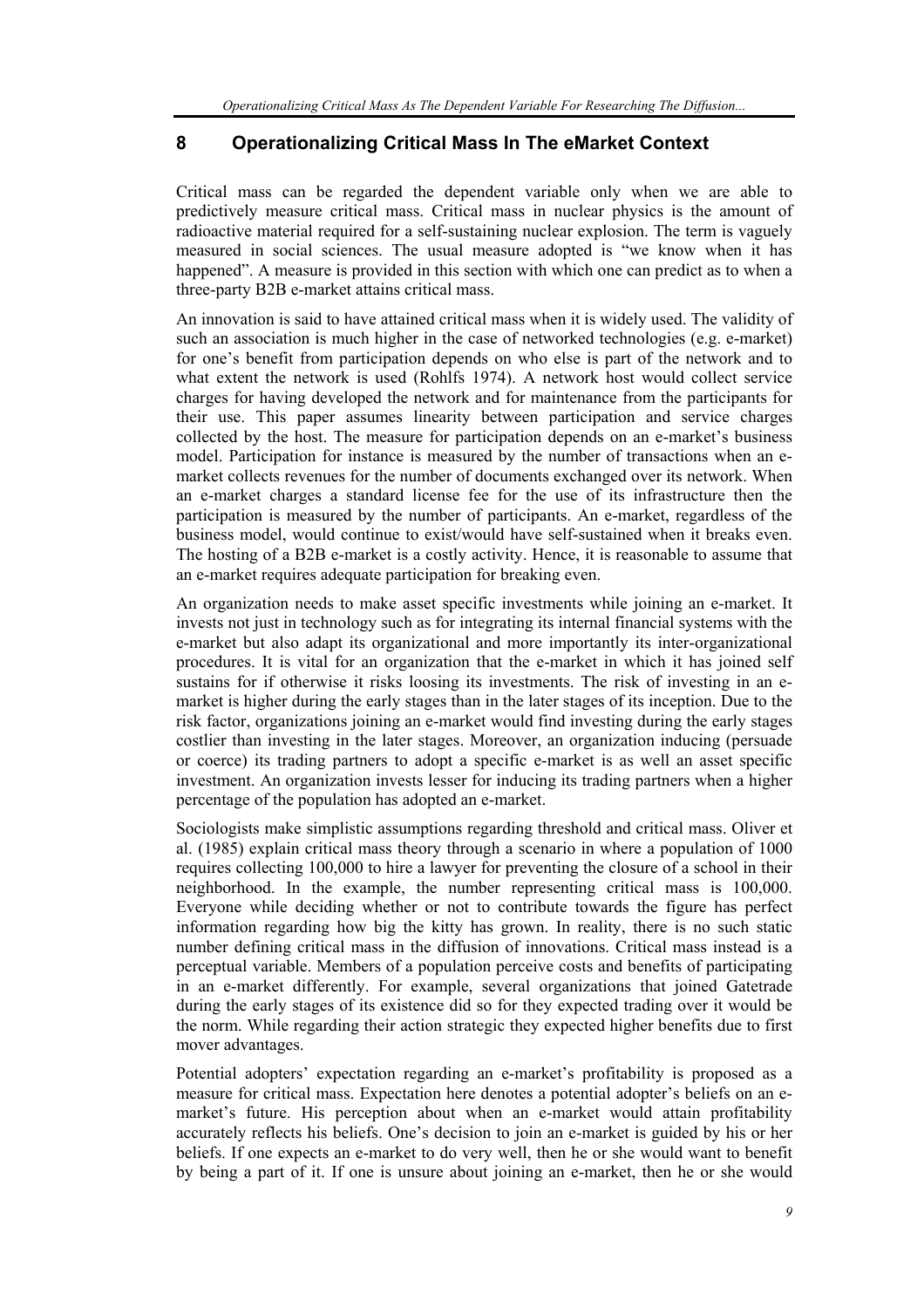## **8 Operationalizing Critical Mass In The eMarket Context**

Critical mass can be regarded the dependent variable only when we are able to predictively measure critical mass. Critical mass in nuclear physics is the amount of radioactive material required for a self-sustaining nuclear explosion. The term is vaguely measured in social sciences. The usual measure adopted is "we know when it has happened". A measure is provided in this section with which one can predict as to when a three-party B2B e-market attains critical mass.

An innovation is said to have attained critical mass when it is widely used. The validity of such an association is much higher in the case of networked technologies (e.g. e-market) for one's benefit from participation depends on who else is part of the network and to what extent the network is used (Rohlfs 1974). A network host would collect service charges for having developed the network and for maintenance from the participants for their use. This paper assumes linearity between participation and service charges collected by the host. The measure for participation depends on an e-market's business model. Participation for instance is measured by the number of transactions when an emarket collects revenues for the number of documents exchanged over its network. When an e-market charges a standard license fee for the use of its infrastructure then the participation is measured by the number of participants. An e-market, regardless of the business model, would continue to exist/would have self-sustained when it breaks even. The hosting of a B2B e-market is a costly activity. Hence, it is reasonable to assume that an e-market requires adequate participation for breaking even.

An organization needs to make asset specific investments while joining an e-market. It invests not just in technology such as for integrating its internal financial systems with the e-market but also adapt its organizational and more importantly its inter-organizational procedures. It is vital for an organization that the e-market in which it has joined self sustains for if otherwise it risks loosing its investments. The risk of investing in an emarket is higher during the early stages than in the later stages of its inception. Due to the risk factor, organizations joining an e-market would find investing during the early stages costlier than investing in the later stages. Moreover, an organization inducing (persuade or coerce) its trading partners to adopt a specific e-market is as well an asset specific investment. An organization invests lesser for inducing its trading partners when a higher percentage of the population has adopted an e-market.

Sociologists make simplistic assumptions regarding threshold and critical mass. Oliver et al. (1985) explain critical mass theory through a scenario in where a population of 1000 requires collecting 100,000 to hire a lawyer for preventing the closure of a school in their neighborhood. In the example, the number representing critical mass is 100,000. Everyone while deciding whether or not to contribute towards the figure has perfect information regarding how big the kitty has grown. In reality, there is no such static number defining critical mass in the diffusion of innovations. Critical mass instead is a perceptual variable. Members of a population perceive costs and benefits of participating in an e-market differently. For example, several organizations that joined Gatetrade during the early stages of its existence did so for they expected trading over it would be the norm. While regarding their action strategic they expected higher benefits due to first mover advantages.

Potential adopters' expectation regarding an e-market's profitability is proposed as a measure for critical mass. Expectation here denotes a potential adopter's beliefs on an emarket's future. His perception about when an e-market would attain profitability accurately reflects his beliefs. One's decision to join an e-market is guided by his or her beliefs. If one expects an e-market to do very well, then he or she would want to benefit by being a part of it. If one is unsure about joining an e-market, then he or she would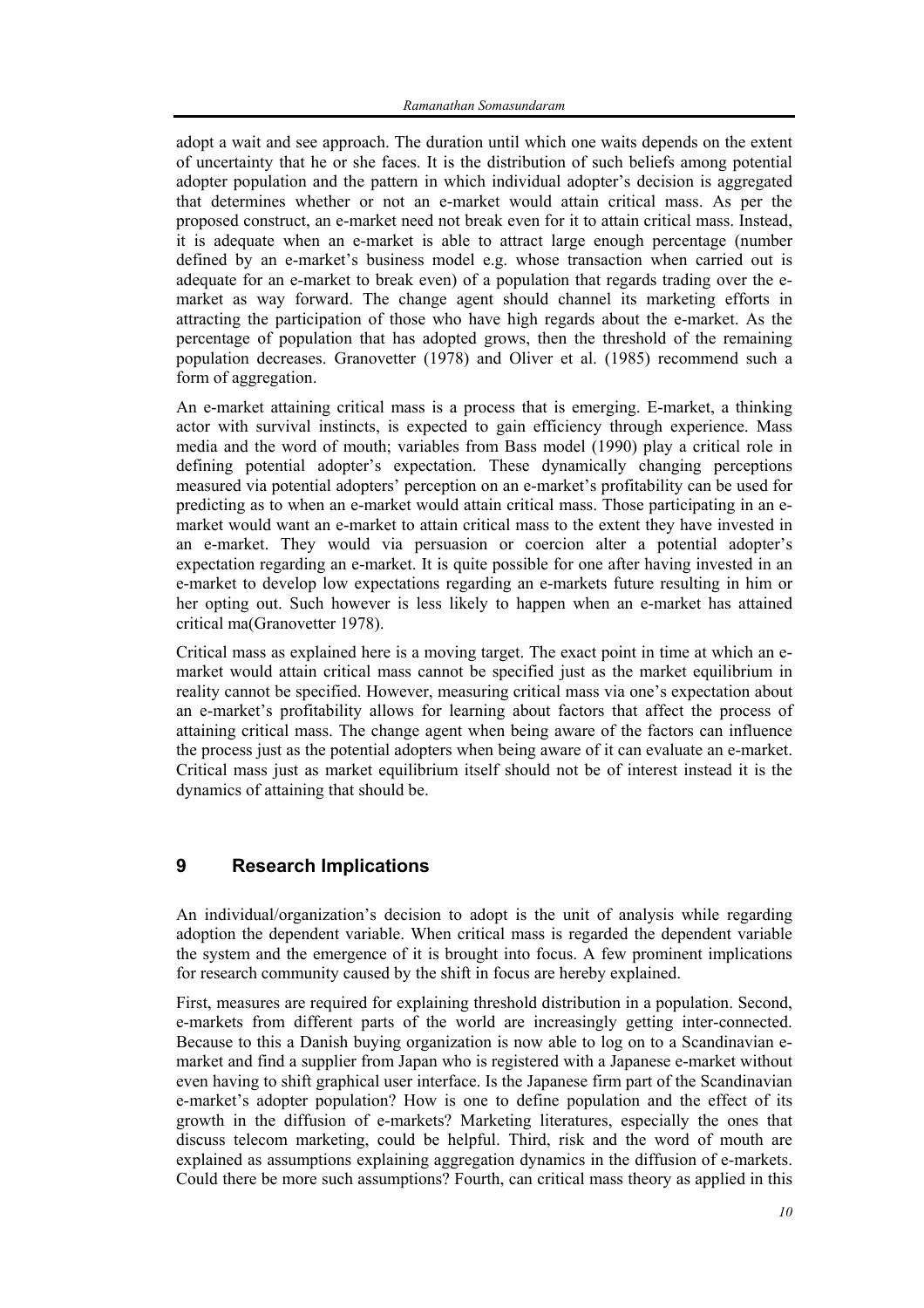adopt a wait and see approach. The duration until which one waits depends on the extent of uncertainty that he or she faces. It is the distribution of such beliefs among potential adopter population and the pattern in which individual adopter's decision is aggregated that determines whether or not an e-market would attain critical mass. As per the proposed construct, an e-market need not break even for it to attain critical mass. Instead, it is adequate when an e-market is able to attract large enough percentage (number defined by an e-market's business model e.g. whose transaction when carried out is adequate for an e-market to break even) of a population that regards trading over the emarket as way forward. The change agent should channel its marketing efforts in attracting the participation of those who have high regards about the e-market. As the percentage of population that has adopted grows, then the threshold of the remaining population decreases. Granovetter (1978) and Oliver et al. (1985) recommend such a form of aggregation.

An e-market attaining critical mass is a process that is emerging. E-market, a thinking actor with survival instincts, is expected to gain efficiency through experience. Mass media and the word of mouth; variables from Bass model (1990) play a critical role in defining potential adopter's expectation. These dynamically changing perceptions measured via potential adopters' perception on an e-market's profitability can be used for predicting as to when an e-market would attain critical mass. Those participating in an emarket would want an e-market to attain critical mass to the extent they have invested in an e-market. They would via persuasion or coercion alter a potential adopter's expectation regarding an e-market. It is quite possible for one after having invested in an e-market to develop low expectations regarding an e-markets future resulting in him or her opting out. Such however is less likely to happen when an e-market has attained critical ma(Granovetter 1978).

Critical mass as explained here is a moving target. The exact point in time at which an emarket would attain critical mass cannot be specified just as the market equilibrium in reality cannot be specified. However, measuring critical mass via one's expectation about an e-market's profitability allows for learning about factors that affect the process of attaining critical mass. The change agent when being aware of the factors can influence the process just as the potential adopters when being aware of it can evaluate an e-market. Critical mass just as market equilibrium itself should not be of interest instead it is the dynamics of attaining that should be.

## **9 Research Implications**

An individual/organization's decision to adopt is the unit of analysis while regarding adoption the dependent variable. When critical mass is regarded the dependent variable the system and the emergence of it is brought into focus. A few prominent implications for research community caused by the shift in focus are hereby explained.

First, measures are required for explaining threshold distribution in a population. Second, e-markets from different parts of the world are increasingly getting inter-connected. Because to this a Danish buying organization is now able to log on to a Scandinavian emarket and find a supplier from Japan who is registered with a Japanese e-market without even having to shift graphical user interface. Is the Japanese firm part of the Scandinavian e-market's adopter population? How is one to define population and the effect of its growth in the diffusion of e-markets? Marketing literatures, especially the ones that discuss telecom marketing, could be helpful. Third, risk and the word of mouth are explained as assumptions explaining aggregation dynamics in the diffusion of e-markets. Could there be more such assumptions? Fourth, can critical mass theory as applied in this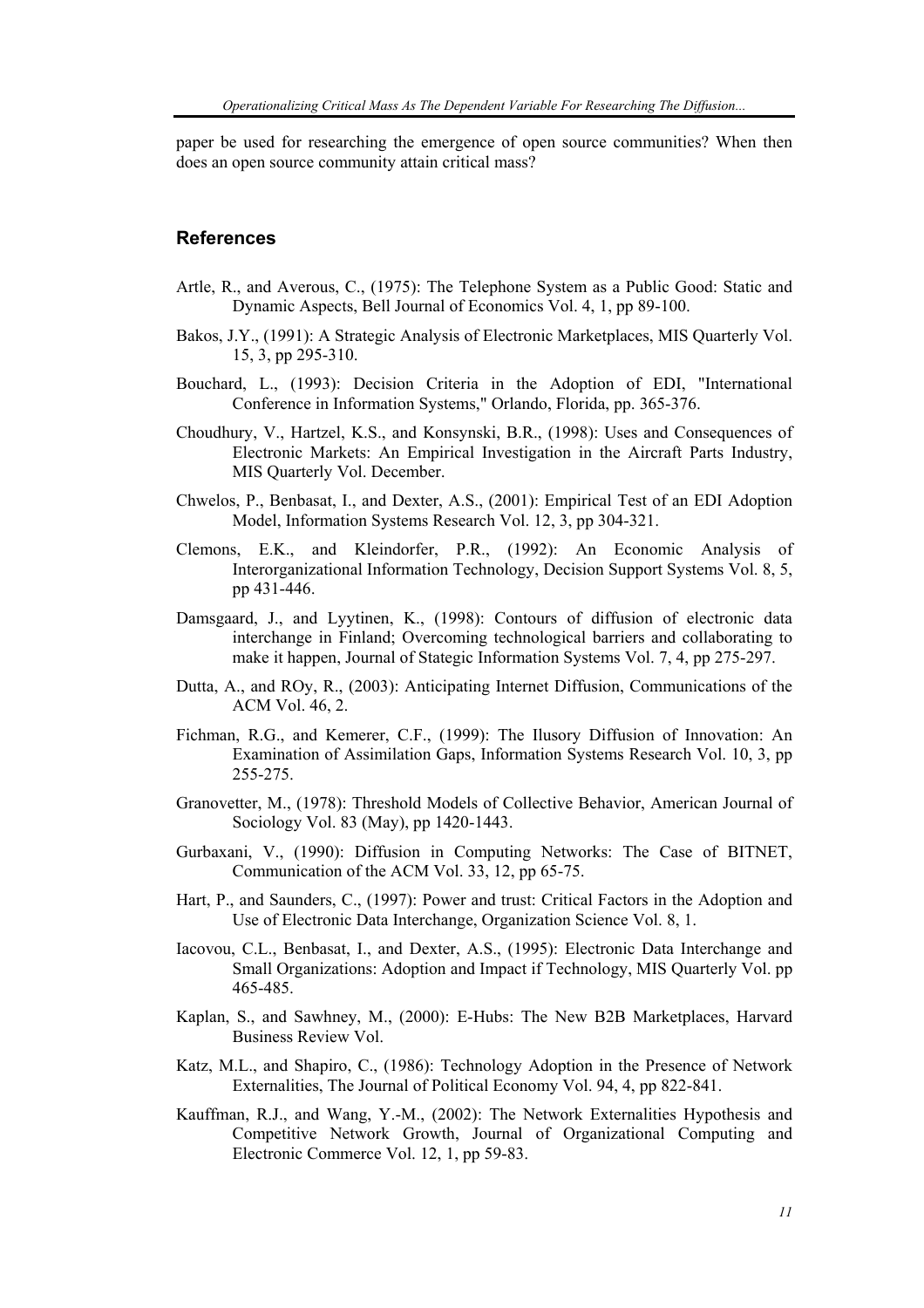paper be used for researching the emergence of open source communities? When then does an open source community attain critical mass?

#### **References**

- Artle, R., and Averous, C., (1975): The Telephone System as a Public Good: Static and Dynamic Aspects, Bell Journal of Economics Vol. 4, 1, pp 89-100.
- Bakos, J.Y., (1991): A Strategic Analysis of Electronic Marketplaces, MIS Quarterly Vol. 15, 3, pp 295-310.
- Bouchard, L., (1993): Decision Criteria in the Adoption of EDI, "International Conference in Information Systems," Orlando, Florida, pp. 365-376.
- Choudhury, V., Hartzel, K.S., and Konsynski, B.R., (1998): Uses and Consequences of Electronic Markets: An Empirical Investigation in the Aircraft Parts Industry, MIS Quarterly Vol. December.
- Chwelos, P., Benbasat, I., and Dexter, A.S., (2001): Empirical Test of an EDI Adoption Model, Information Systems Research Vol. 12, 3, pp 304-321.
- Clemons, E.K., and Kleindorfer, P.R., (1992): An Economic Analysis of Interorganizational Information Technology, Decision Support Systems Vol. 8, 5, pp 431-446.
- Damsgaard, J., and Lyytinen, K., (1998): Contours of diffusion of electronic data interchange in Finland; Overcoming technological barriers and collaborating to make it happen, Journal of Stategic Information Systems Vol. 7, 4, pp 275-297.
- Dutta, A., and ROy, R., (2003): Anticipating Internet Diffusion, Communications of the ACM Vol. 46, 2.
- Fichman, R.G., and Kemerer, C.F., (1999): The Ilusory Diffusion of Innovation: An Examination of Assimilation Gaps, Information Systems Research Vol. 10, 3, pp 255-275.
- Granovetter, M., (1978): Threshold Models of Collective Behavior, American Journal of Sociology Vol. 83 (May), pp 1420-1443.
- Gurbaxani, V., (1990): Diffusion in Computing Networks: The Case of BITNET, Communication of the ACM Vol. 33, 12, pp 65-75.
- Hart, P., and Saunders, C., (1997): Power and trust: Critical Factors in the Adoption and Use of Electronic Data Interchange, Organization Science Vol. 8, 1.
- Iacovou, C.L., Benbasat, I., and Dexter, A.S., (1995): Electronic Data Interchange and Small Organizations: Adoption and Impact if Technology, MIS Quarterly Vol. pp 465-485.
- Kaplan, S., and Sawhney, M., (2000): E-Hubs: The New B2B Marketplaces, Harvard Business Review Vol.
- Katz, M.L., and Shapiro, C., (1986): Technology Adoption in the Presence of Network Externalities, The Journal of Political Economy Vol. 94, 4, pp 822-841.
- Kauffman, R.J., and Wang, Y.-M., (2002): The Network Externalities Hypothesis and Competitive Network Growth, Journal of Organizational Computing and Electronic Commerce Vol. 12, 1, pp 59-83.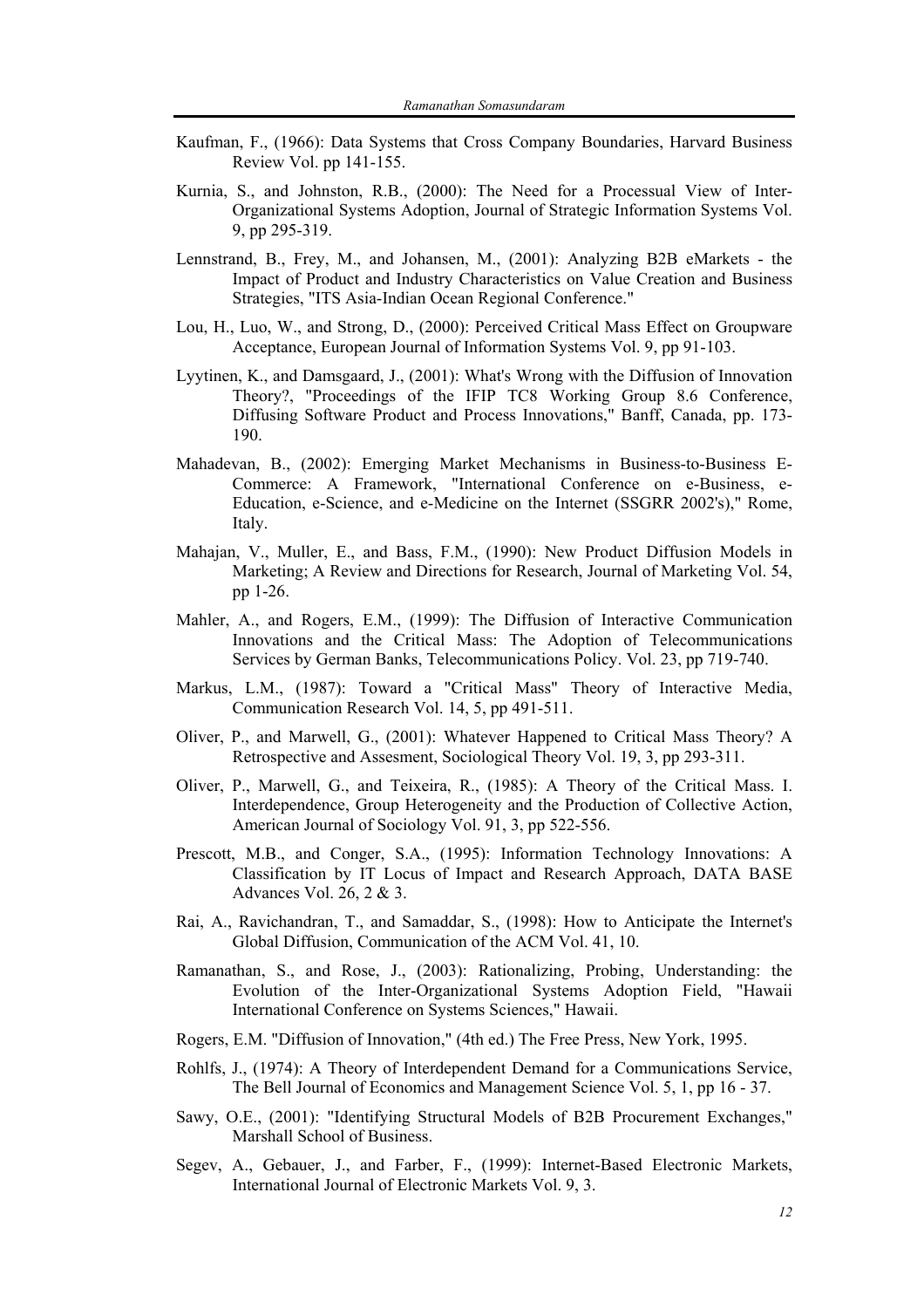- Kaufman, F., (1966): Data Systems that Cross Company Boundaries, Harvard Business Review Vol. pp 141-155.
- Kurnia, S., and Johnston, R.B., (2000): The Need for a Processual View of Inter-Organizational Systems Adoption, Journal of Strategic Information Systems Vol. 9, pp 295-319.
- Lennstrand, B., Frey, M., and Johansen, M., (2001): Analyzing B2B eMarkets the Impact of Product and Industry Characteristics on Value Creation and Business Strategies, "ITS Asia-Indian Ocean Regional Conference."
- Lou, H., Luo, W., and Strong, D., (2000): Perceived Critical Mass Effect on Groupware Acceptance, European Journal of Information Systems Vol. 9, pp 91-103.
- Lyytinen, K., and Damsgaard, J., (2001): What's Wrong with the Diffusion of Innovation Theory?, "Proceedings of the IFIP TC8 Working Group 8.6 Conference, Diffusing Software Product and Process Innovations," Banff, Canada, pp. 173- 190.
- Mahadevan, B., (2002): Emerging Market Mechanisms in Business-to-Business E-Commerce: A Framework, "International Conference on e-Business, e-Education, e-Science, and e-Medicine on the Internet (SSGRR 2002's)," Rome, Italy.
- Mahajan, V., Muller, E., and Bass, F.M., (1990): New Product Diffusion Models in Marketing; A Review and Directions for Research, Journal of Marketing Vol. 54, pp 1-26.
- Mahler, A., and Rogers, E.M., (1999): The Diffusion of Interactive Communication Innovations and the Critical Mass: The Adoption of Telecommunications Services by German Banks, Telecommunications Policy. Vol. 23, pp 719-740.
- Markus, L.M., (1987): Toward a "Critical Mass" Theory of Interactive Media, Communication Research Vol. 14, 5, pp 491-511.
- Oliver, P., and Marwell, G., (2001): Whatever Happened to Critical Mass Theory? A Retrospective and Assesment, Sociological Theory Vol. 19, 3, pp 293-311.
- Oliver, P., Marwell, G., and Teixeira, R., (1985): A Theory of the Critical Mass. I. Interdependence, Group Heterogeneity and the Production of Collective Action, American Journal of Sociology Vol. 91, 3, pp 522-556.
- Prescott, M.B., and Conger, S.A., (1995): Information Technology Innovations: A Classification by IT Locus of Impact and Research Approach, DATA BASE Advances Vol. 26, 2 & 3.
- Rai, A., Ravichandran, T., and Samaddar, S., (1998): How to Anticipate the Internet's Global Diffusion, Communication of the ACM Vol. 41, 10.
- Ramanathan, S., and Rose, J., (2003): Rationalizing, Probing, Understanding: the Evolution of the Inter-Organizational Systems Adoption Field, "Hawaii International Conference on Systems Sciences," Hawaii.
- Rogers, E.M. "Diffusion of Innovation," (4th ed.) The Free Press, New York, 1995.
- Rohlfs, J., (1974): A Theory of Interdependent Demand for a Communications Service, The Bell Journal of Economics and Management Science Vol. 5, 1, pp 16 - 37.
- Sawy, O.E., (2001): "Identifying Structural Models of B2B Procurement Exchanges," Marshall School of Business.
- Segev, A., Gebauer, J., and Farber, F., (1999): Internet-Based Electronic Markets, International Journal of Electronic Markets Vol. 9, 3.